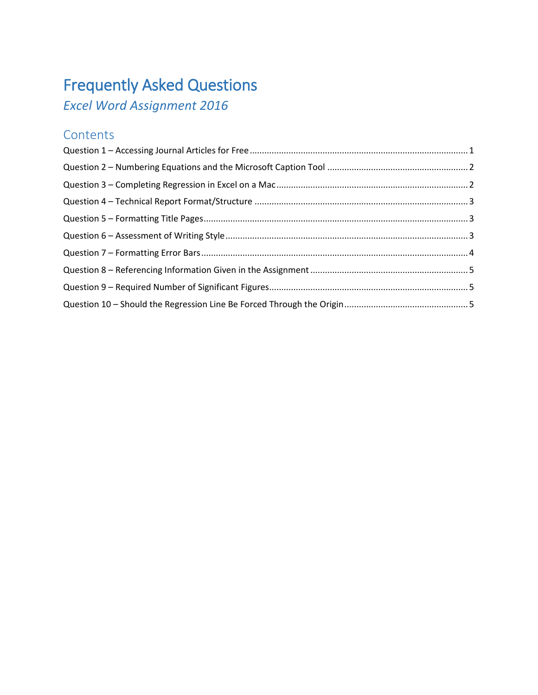# Frequently Asked Questions

*Excel Word Assignment 2016*

# **Contents**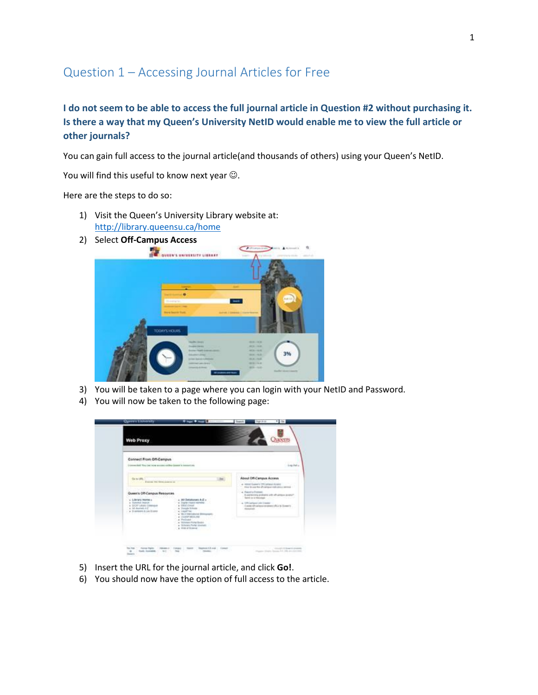# <span id="page-1-0"></span>Question 1 – Accessing Journal Articles for Free

### **I do not seem to be able to access the full journal article in Question #2 without purchasing it. Is there a way that my Queen's University NetID would enable me to view the full article or other journals?**

You can gain full access to the journal article(and thousands of others) using your Queen's NetID.

You will find this useful to know next year  $\odot$ .

Here are the steps to do so:

- 1) Visit the Queen's University Library website at: <http://library.queensu.ca/home>
- 2) Select **Off-Campus Access**



- 3) You will be taken to a page where you can login with your NetID and Password.
- 4) You will now be taken to the following page:

| Connect From Off-Campus<br>Licensed for Lat low success called Generic Interesting                                                                                                                                                                                                                                                                                                     | Lopinia.                                                                                                                                                                                                                                                                                                                                |
|----------------------------------------------------------------------------------------------------------------------------------------------------------------------------------------------------------------------------------------------------------------------------------------------------------------------------------------------------------------------------------------|-----------------------------------------------------------------------------------------------------------------------------------------------------------------------------------------------------------------------------------------------------------------------------------------------------------------------------------------|
| Ga to UNL<br>Contract a Roman Warehousekeep at<br>Queen's Off-Campus Resources<br>$+$ 3.0 Detabases A.E. $-$<br>L. Library Interior c.<br>a. Digital Chester Hartshall<br>. Tomma busid.<br>+ DCAT Library Company<br>in DROCONAR<br>a. 3d Juneau A.C.<br>a Toyota Schutz<br>$-$ + 3 seconds 4 i.es Expos<br>4. Lappiner<br><b>Section Advised</b><br>e 14 il transatorio distinguista | About Off-Campus Access<br>at ABSATEAMATE TRESPASS ASSAULT<br>time to say the off-spinars with price stress) :<br>+ Restrictions<br>Il perienting problem are of various access?<br>Senior as a malarage - and the control of the con-<br>A 1991 artists Life Treater<br>Capital African program of L.C. Scout's<br><b>Service Ave.</b> |
| at Christian Addition Park<br>a Wesleyge Links<br>. Interest Holat Books<br>a Scholary Parke smokely<br>a rich of filming                                                                                                                                                                                                                                                              |                                                                                                                                                                                                                                                                                                                                         |

- 5) Insert the URL for the journal article, and click **Go!**.
- 6) You should now have the option of full access to the article.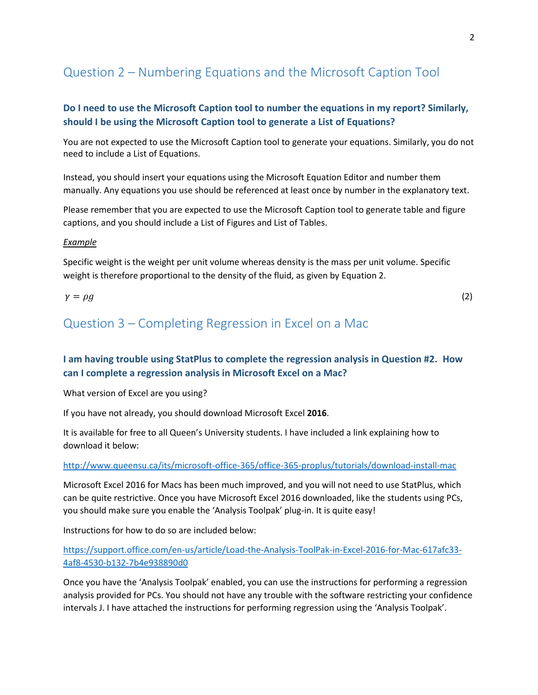# <span id="page-2-0"></span>Question 2 – Numbering Equations and the Microsoft Caption Tool

### **Do I need to use the Microsoft Caption tool to number the equations in my report? Similarly, should I be using the Microsoft Caption tool to generate a List of Equations?**

You are not expected to use the Microsoft Caption tool to generate your equations. Similarly, you do not need to include a List of Equations.

Instead, you should insert your equations using the Microsoft Equation Editor and number them manually. Any equations you use should be referenced at least once by number in the explanatory text.

Please remember that you are expected to use the Microsoft Caption tool to generate table and figure captions, and you should include a List of Figures and List of Tables.

#### *Example*

Specific weight is the weight per unit volume whereas density is the mass per unit volume. Specific weight is therefore proportional to the density of the fluid, as given by Equation 2.

#### $\gamma = \rho g$  (2)

# <span id="page-2-1"></span>Question 3 – Completing Regression in Excel on a Mac

### **I am having trouble using StatPlus to complete the regression analysis in Question #2. How can I complete a regression analysis in Microsoft Excel on a Mac?**

What version of Excel are you using?

If you have not already, you should download Microsoft Excel **2016**.

It is available for free to all Queen's University students. I have included a link explaining how to download it below:

<http://www.queensu.ca/its/microsoft-office-365/office-365-proplus/tutorials/download-install-mac>

Microsoft Excel 2016 for Macs has been much improved, and you will not need to use StatPlus, which can be quite restrictive. Once you have Microsoft Excel 2016 downloaded, like the students using PCs, you should make sure you enable the 'Analysis Toolpak' plug-in. It is quite easy!

Instructions for how to do so are included below:

[https://support.office.com/en-us/article/Load-the-Analysis-ToolPak-in-Excel-2016-for-Mac-617afc33-](https://support.office.com/en-us/article/Load-the-Analysis-ToolPak-in-Excel-2016-for-Mac-617afc33-4af8-4530-b132-7b4e938890d0) [4af8-4530-b132-7b4e938890d0](https://support.office.com/en-us/article/Load-the-Analysis-ToolPak-in-Excel-2016-for-Mac-617afc33-4af8-4530-b132-7b4e938890d0)

Once you have the 'Analysis Toolpak' enabled, you can use the instructions for performing a regression analysis provided for PCs. You should not have any trouble with the software restricting your confidence intervals J. I have attached the instructions for performing regression using the 'Analysis Toolpak'.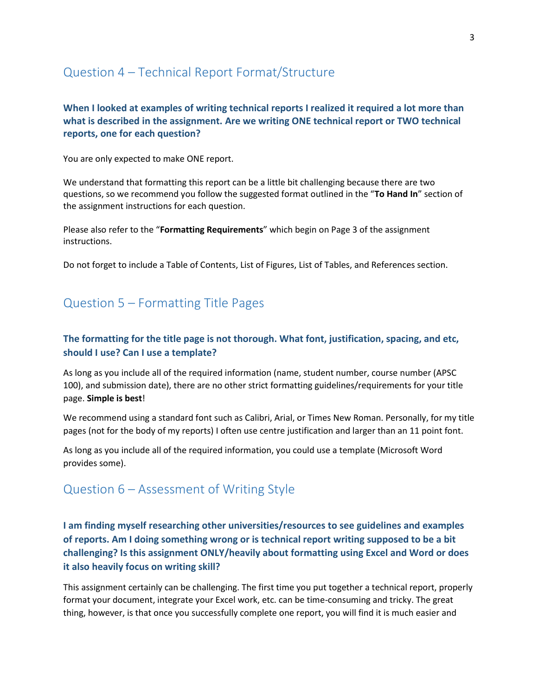## <span id="page-3-0"></span>Question 4 – Technical Report Format/Structure

### **When I looked at examples of writing technical reports I realized it required a lot more than what is described in the assignment. Are we writing ONE technical report or TWO technical reports, one for each question?**

You are only expected to make ONE report.

We understand that formatting this report can be a little bit challenging because there are two questions, so we recommend you follow the suggested format outlined in the "**To Hand In**" section of the assignment instructions for each question.

Please also refer to the "**Formatting Requirements**" which begin on Page 3 of the assignment instructions.

Do not forget to include a Table of Contents, List of Figures, List of Tables, and References section.

# <span id="page-3-1"></span>Question 5 – Formatting Title Pages

### **The formatting for the title page is not thorough. What font, justification, spacing, and etc, should I use? Can I use a template?**

As long as you include all of the required information (name, student number, course number (APSC 100), and submission date), there are no other strict formatting guidelines/requirements for your title page. **Simple is best**!

We recommend using a standard font such as Calibri, Arial, or Times New Roman. Personally, for my title pages (not for the body of my reports) I often use centre justification and larger than an 11 point font.

As long as you include all of the required information, you could use a template (Microsoft Word provides some).

# <span id="page-3-2"></span>Question 6 – Assessment of Writing Style

### **I am finding myself researching other universities/resources to see guidelines and examples of reports. Am I doing something wrong or is technical report writing supposed to be a bit challenging? Is this assignment ONLY/heavily about formatting using Excel and Word or does it also heavily focus on writing skill?**

This assignment certainly can be challenging. The first time you put together a technical report, properly format your document, integrate your Excel work, etc. can be time-consuming and tricky. The great thing, however, is that once you successfully complete one report, you will find it is much easier and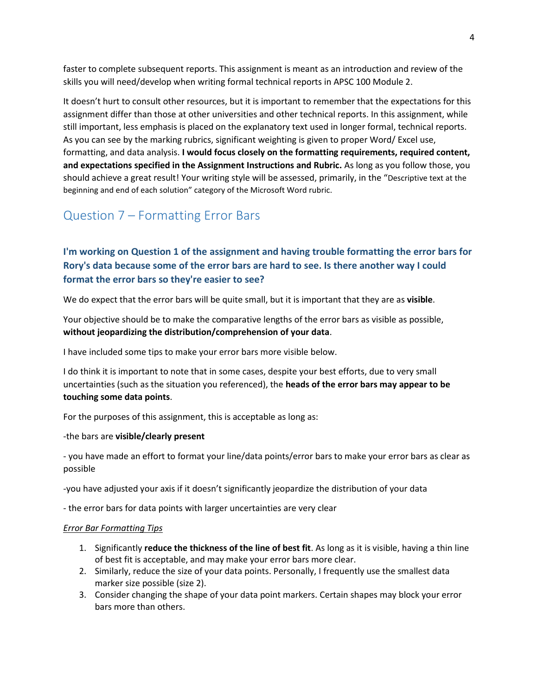faster to complete subsequent reports. This assignment is meant as an introduction and review of the skills you will need/develop when writing formal technical reports in APSC 100 Module 2.

It doesn't hurt to consult other resources, but it is important to remember that the expectations for this assignment differ than those at other universities and other technical reports. In this assignment, while still important, less emphasis is placed on the explanatory text used in longer formal, technical reports. As you can see by the marking rubrics, significant weighting is given to proper Word/ Excel use, formatting, and data analysis. **I would focus closely on the formatting requirements, required content, and expectations specified in the Assignment Instructions and Rubric.** As long as you follow those, you should achieve a great result! Your writing style will be assessed, primarily, in the "Descriptive text at the beginning and end of each solution" category of the Microsoft Word rubric.

# <span id="page-4-0"></span>Question 7 – Formatting Error Bars

### **I'm working on Question 1 of the assignment and having trouble formatting the error bars for Rory's data because some of the error bars are hard to see. Is there another way I could format the error bars so they're easier to see?**

We do expect that the error bars will be quite small, but it is important that they are as **visible**.

Your objective should be to make the comparative lengths of the error bars as visible as possible, **without jeopardizing the distribution/comprehension of your data**.

I have included some tips to make your error bars more visible below.

I do think it is important to note that in some cases, despite your best efforts, due to very small uncertainties (such as the situation you referenced), the **heads of the error bars may appear to be touching some data points**.

For the purposes of this assignment, this is acceptable as long as:

-the bars are **visible/clearly present**

- you have made an effort to format your line/data points/error bars to make your error bars as clear as possible

-you have adjusted your axis if it doesn't significantly jeopardize the distribution of your data

- the error bars for data points with larger uncertainties are very clear

#### *Error Bar Formatting Tips*

- 1. Significantly **reduce the thickness of the line of best fit**. As long as it is visible, having a thin line of best fit is acceptable, and may make your error bars more clear.
- 2. Similarly, reduce the size of your data points. Personally, I frequently use the smallest data marker size possible (size 2).
- 3. Consider changing the shape of your data point markers. Certain shapes may block your error bars more than others.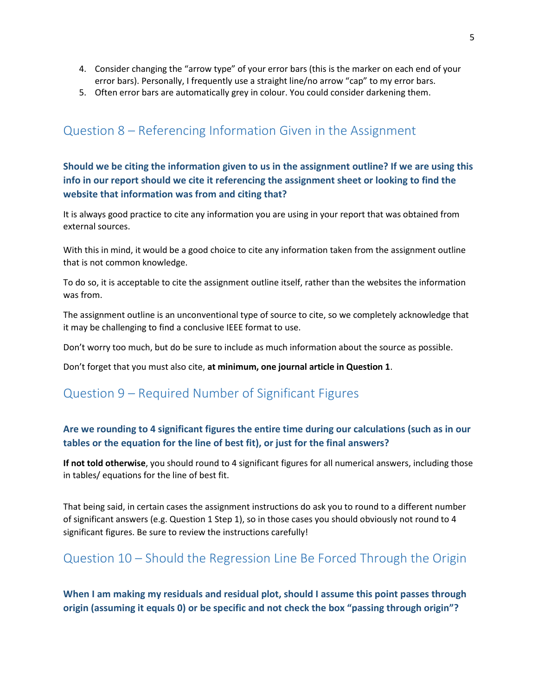- 4. Consider changing the "arrow type" of your error bars (this is the marker on each end of your error bars). Personally, I frequently use a straight line/no arrow "cap" to my error bars.
- 5. Often error bars are automatically grey in colour. You could consider darkening them.

# <span id="page-5-0"></span>Question 8 – Referencing Information Given in the Assignment

**Should we be citing the information given to us in the assignment outline? If we are using this info in our report should we cite it referencing the assignment sheet or looking to find the website that information was from and citing that?**

It is always good practice to cite any information you are using in your report that was obtained from external sources.

With this in mind, it would be a good choice to cite any information taken from the assignment outline that is not common knowledge.

To do so, it is acceptable to cite the assignment outline itself, rather than the websites the information was from.

The assignment outline is an unconventional type of source to cite, so we completely acknowledge that it may be challenging to find a conclusive IEEE format to use.

Don't worry too much, but do be sure to include as much information about the source as possible.

Don't forget that you must also cite, **at minimum, one journal article in Question 1**.

## <span id="page-5-1"></span>Question 9 – Required Number of Significant Figures

### **Are we rounding to 4 significant figures the entire time during our calculations (such as in our tables or the equation for the line of best fit), or just for the final answers?**

**If not told otherwise**, you should round to 4 significant figures for all numerical answers, including those in tables/ equations for the line of best fit.

That being said, in certain cases the assignment instructions do ask you to round to a different number of significant answers (e.g. Question 1 Step 1), so in those cases you should obviously not round to 4 significant figures. Be sure to review the instructions carefully!

# <span id="page-5-2"></span>Question 10 – Should the Regression Line Be Forced Through the Origin

**When I am making my residuals and residual plot, should I assume this point passes through origin (assuming it equals 0) or be specific and not check the box "passing through origin"?**